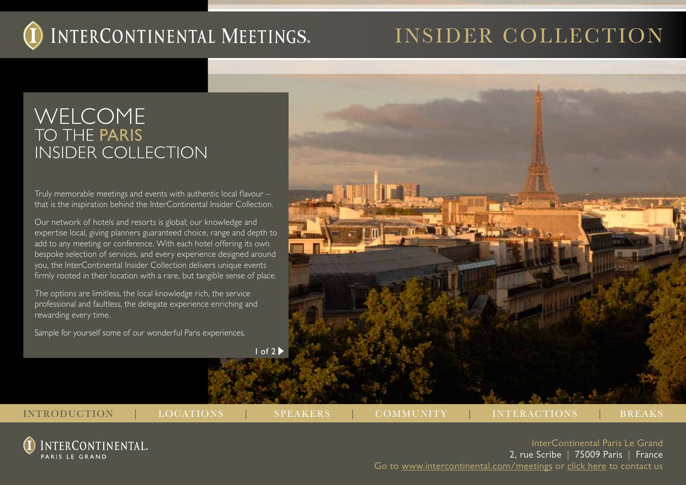## insider collection

### Welcome TO THE PARIS INSIDER COLLECTION

Truly memorable meetings and events with authentic local flavour – that is the inspiration behind the InterContinental Insider Collection.

Our network of hotels and resorts is global; our knowledge and expertise local, giving planners guaranteed choice, range and depth to add to any meeting or conference. With each hotel offering its own bespoke selection of services, and every experience designed around you, the InterContinental Insider Collection delivers unique events firmly rooted in their location with a rare, but tangible sense of place.

The options are limitless, the local knowledge rich, the service professional and faultless, the delegate experience enriching and rewarding every time.

Sample for yourself some of our wonderful Paris experiences.

 $1 of 2$ 

INTRODUCTION | LOCATIONS | SPEAKERS | COMMUNITY | INTERACTIONS | BREAKS

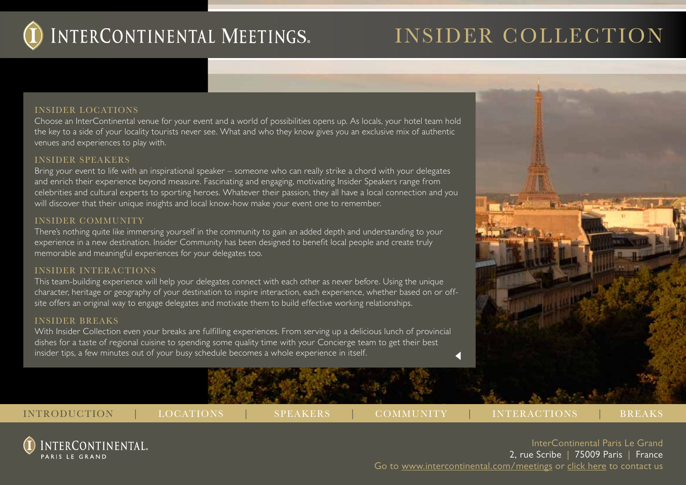

## insider collection

#### INSIDER LOCATIONS

Choose an InterContinental venue for your event and a world of possibilities opens up. As locals, your hotel team hold the key to a side of your locality tourists never see. What and who they know gives you an exclusive mix of authentic venues and experiences to play with.

#### INSIDER SPEAKERS

Bring your event to life with an inspirational speaker – someone who can really strike a chord with your delegates and enrich their experience beyond measure. Fascinating and engaging, motivating Insider Speakers range from celebrities and cultural experts to sporting heroes. Whatever their passion, they all have a local connection and you will discover that their unique insights and local know-how make your event one to remember.

#### INSIDER COMMUNITY

There's nothing quite like immersing yourself in the community to gain an added depth and understanding to your experience in a new destination. Insider Community has been designed to benefit local people and create truly memorable and meaningful experiences for your delegates too.

#### INSIDER INTERACTIONS

This team-building experience will help your delegates connect with each other as never before. Using the unique character, heritage or geography of your destination to inspire interaction, each experience, whether based on or offsite offers an original way to engage delegates and motivate them to build effective working relationships.

#### INSIDER BREAKS

With Insider Collection even your breaks are fulfilling experiences. From serving up a delicious lunch of provincial dishes for a taste of regional cuisine to spending some quality time with your Concierge team to get their best insider tips, a few minutes out of your busy schedule becomes a whole experience in itself.



NTERCONTINENTAL.

PARIS I F GRAND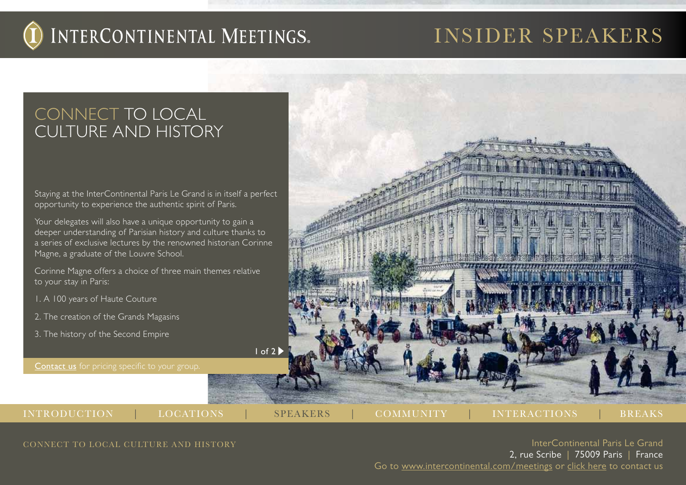## insider speakers

### CONNECT TO LOCAL **CULTURE AND HISTORY**

Staying at the InterContinental Paris Le Grand is in itself a perfect opportunity to experience the authentic spirit of Paris.

Your delegates will also have a unique opportunity to gain a deeper understanding of Parisian history and culture thanks to a series of exclusive lectures by the renowned historian Corinne Magne, a graduate of the Louvre School.

Corinne Magne offers a choice of three main themes relative to your stay in Paris:

- 1. A 100 years of Haute Couture
- 2. The creation of the Grands Magasins
- 3. The history of the Second Empire

Contact us for pricing specific to your group.



INTRODUCTION | LOCATIONS | SPEAKERS | COMMUNITY | INTERACTIONS | BREAKS

CONNECT TO LOCAL CULTURE AND HISTORY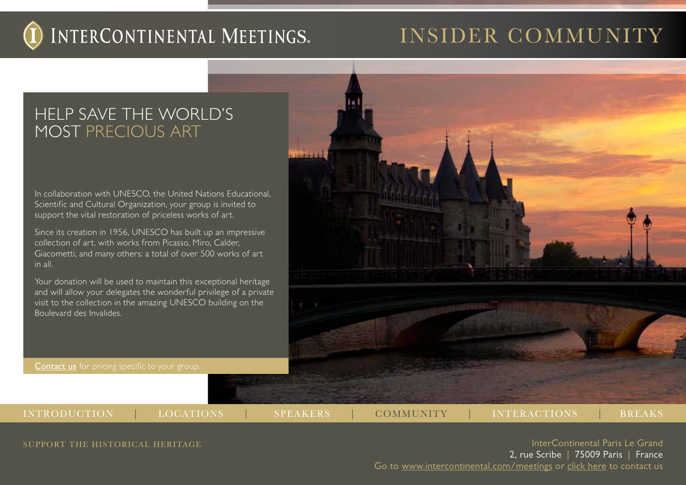## INSIDER COMMUNITY

### Help save the world's most precious art

In collaboration with UNESCO, the United Nations Educational, Scientific and Cultural Organization, your group is invited to support the vital restoration of priceless works of art.

Since its creation in 1956, UNESCO has built up an impressive collection of art, with works from Picasso, Miro, Calder, Giacometti, and many others: a total of over 500 works of art in all.

Your donation will be used to maintain this exceptional heritage and will allow your delegates the wonderful privilege of a private visit to the collection in the amazing UNESCO building on the Boulevard des Invalides.

Contact us for pricing specific to your group.



INTRODUCTION | LOCATIONS | SPEAKERS | COMMUNITY | INTERACTIONS | BREAKS

SUPPORT THE HISTORICAL HERITAGE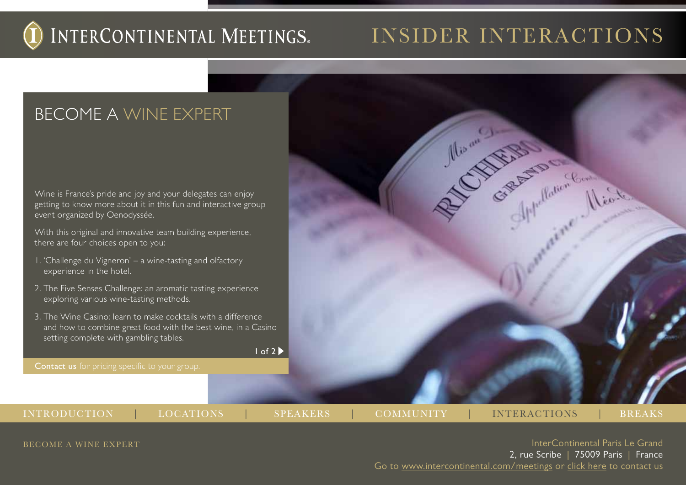## INSIDER INTERACTIONS

Records Charles Report For Mine

## Become a wine expert

Wine is France's pride and joy and your delegates can enjoy getting to know more about it in this fun and interactive group event organized by Oenodyssée.

With this original and innovative team building experience, there are four choices open to you:

- 1. 'Challenge du Vigneron' a wine-tasting and olfactory experience in the hotel.
- 2. The Five Senses Challenge: an aromatic tasting experience exploring various wine-tasting methods.
- 3. The Wine Casino: learn to make cocktails with a difference and how to combine great food with the best wine, in a Casino setting complete with gambling tables.

 $1 of 2 \blacktriangleright$ 

Contact us for pricing specific to your group.

INTRODUCTION | LOCATIONS | SPEAKERS | COMMUNITY | INTERACTIONS | BREAKS

BECOME A WINE EXPERT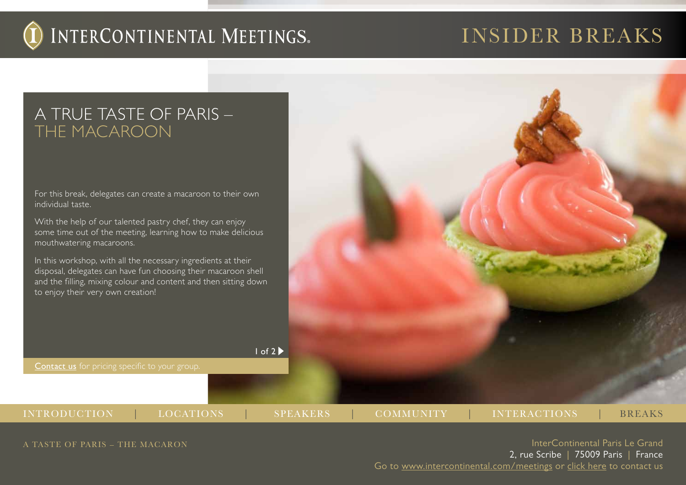## insider breaks

### A true taste of Paris – THE MACAROON

For this break, delegates can create a macaroon to their own individual taste.

With the help of our talented pastry chef, they can enjoy some time out of the meeting, learning how to make delicious mouthwatering macaroons.

In this workshop, with all the necessary ingredients at their disposal, delegates can have fun choosing their macaroon shell and the filling, mixing colour and content and then sitting down to enjoy their very own creation!

Contact us for pricing specific to your group.  $1 of 2 \blacktriangleright$ 



A TASTE OF PARIS – THE MACARON